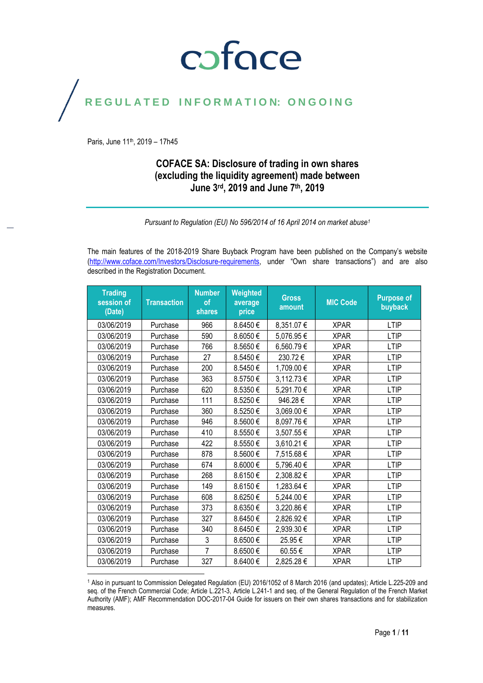### coface

#### REGULATED INFORMATION: ONGOING

Paris, June 11<sup>th</sup>, 2019 - 17h45

#### **COFACE SA: Disclosure of trading in own shares (excluding the liquidity agreement) made between June 3rd, 2019 and June 7th , 2019**

*Pursuant to Regulation (EU) No 596/2014 of 16 April 2014 on market abuse<sup>1</sup>*

The main features of the 2018-2019 Share Buyback Program have been published on the Company's website [\(http://www.coface.com/Investors/Disclosure-requirements](http://www.coface.com/Investors/Disclosure-requirements), under "Own share transactions") and are also described in the Registration Document.

| <b>Trading</b><br>session of<br>(Date) | <b>Transaction</b> | <b>Number</b><br>of<br>shares | Weighted<br>average<br>price | <b>Gross</b><br>amount | <b>MIC Code</b> | <b>Purpose of</b><br>buyback |
|----------------------------------------|--------------------|-------------------------------|------------------------------|------------------------|-----------------|------------------------------|
| 03/06/2019                             | Purchase           | 966                           | 8.6450€                      | 8,351.07€              | <b>XPAR</b>     | LTIP                         |
| 03/06/2019                             | Purchase           | 590                           | 8.6050€                      | 5,076.95€              | <b>XPAR</b>     | <b>LTIP</b>                  |
| 03/06/2019                             | Purchase           | 766                           | 8.5650€                      | 6,560.79€              | <b>XPAR</b>     | <b>LTIP</b>                  |
| 03/06/2019                             | Purchase           | 27                            | 8.5450€                      | 230.72€                | <b>XPAR</b>     | <b>LTIP</b>                  |
| 03/06/2019                             | Purchase           | 200                           | 8.5450€                      | 1,709.00 €             | <b>XPAR</b>     | <b>LTIP</b>                  |
| 03/06/2019                             | Purchase           | 363                           | 8.5750€                      | 3,112.73 €             | <b>XPAR</b>     | <b>LTIP</b>                  |
| 03/06/2019                             | Purchase           | 620                           | 8.5350€                      | 5,291.70€              | <b>XPAR</b>     | <b>LTIP</b>                  |
| 03/06/2019                             | Purchase           | 111                           | 8.5250€                      | 946.28€                | <b>XPAR</b>     | <b>LTIP</b>                  |
| 03/06/2019                             | Purchase           | 360                           | 8.5250€                      | 3,069.00€              | <b>XPAR</b>     | <b>LTIP</b>                  |
| 03/06/2019                             | Purchase           | 946                           | 8.5600€                      | 8,097.76€              | <b>XPAR</b>     | <b>LTIP</b>                  |
| 03/06/2019                             | Purchase           | 410                           | 8.5550€                      | 3,507.55€              | <b>XPAR</b>     | <b>LTIP</b>                  |
| 03/06/2019                             | Purchase           | 422                           | 8.5550€                      | 3,610.21€              | <b>XPAR</b>     | <b>LTIP</b>                  |
| 03/06/2019                             | Purchase           | 878                           | 8.5600€                      | 7,515.68€              | <b>XPAR</b>     | <b>LTIP</b>                  |
| 03/06/2019                             | Purchase           | 674                           | 8.6000€                      | 5,796.40 €             | <b>XPAR</b>     | <b>LTIP</b>                  |
| 03/06/2019                             | Purchase           | 268                           | 8.6150€                      | 2,308.82€              | <b>XPAR</b>     | <b>LTIP</b>                  |
| 03/06/2019                             | Purchase           | 149                           | 8.6150€                      | 1,283.64 €             | <b>XPAR</b>     | <b>LTIP</b>                  |
| 03/06/2019                             | Purchase           | 608                           | 8.6250€                      | 5,244.00 €             | <b>XPAR</b>     | <b>LTIP</b>                  |
| 03/06/2019                             | Purchase           | 373                           | 8.6350€                      | 3,220.86€              | <b>XPAR</b>     | <b>LTIP</b>                  |
| 03/06/2019                             | Purchase           | 327                           | 8.6450€                      | 2,826.92€              | <b>XPAR</b>     | <b>LTIP</b>                  |
| 03/06/2019                             | Purchase           | 340                           | 8.6450€                      | 2,939.30€              | <b>XPAR</b>     | <b>LTIP</b>                  |
| 03/06/2019                             | Purchase           | 3                             | 8.6500€                      | 25.95€                 | <b>XPAR</b>     | <b>LTIP</b>                  |
| 03/06/2019                             | Purchase           | $\overline{7}$                | 8.6500€                      | 60.55€                 | <b>XPAR</b>     | <b>LTIP</b>                  |
| 03/06/2019                             | Purchase           | 327                           | 8.6400€                      | 2,825.28€              | <b>XPAR</b>     | <b>LTIP</b>                  |
|                                        |                    |                               |                              |                        |                 |                              |

<sup>1</sup> Also in pursuant to Commission Delegated Regulation (EU) 2016/1052 of 8 March 2016 (and updates); Article L.225-209 and seq. of the French Commercial Code; Article L.221-3, Article L.241-1 and seq. of the General Regulation of the French Market Authority (AMF); AMF Recommendation DOC-2017-04 Guide for issuers on their own shares transactions and for stabilization measures.

Page **1** / **11**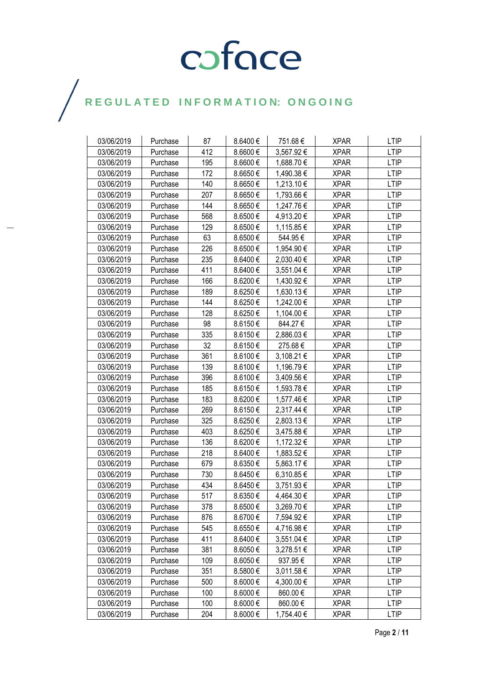| 03/06/2019 | Purchase | 87  | 8.6400€  | 751.68€    | <b>XPAR</b> | <b>LTIP</b> |
|------------|----------|-----|----------|------------|-------------|-------------|
| 03/06/2019 | Purchase | 412 | 8.6600€  | 3,567.92 € | <b>XPAR</b> | <b>LTIP</b> |
| 03/06/2019 | Purchase | 195 | 8.6600€  | 1,688.70 € | <b>XPAR</b> | <b>LTIP</b> |
| 03/06/2019 | Purchase | 172 | 8.6650€  | 1,490.38 € | <b>XPAR</b> | <b>LTIP</b> |
| 03/06/2019 | Purchase | 140 | 8.6650€  | 1,213.10 € | <b>XPAR</b> | <b>LTIP</b> |
| 03/06/2019 | Purchase | 207 | 8.6650€  | 1,793.66 € | <b>XPAR</b> | <b>LTIP</b> |
| 03/06/2019 | Purchase | 144 | 8.6650€  | 1,247.76€  | <b>XPAR</b> | <b>LTIP</b> |
| 03/06/2019 | Purchase | 568 | 8.6500€  | 4,913.20 € | <b>XPAR</b> | <b>LTIP</b> |
| 03/06/2019 | Purchase | 129 | 8.6500€  | 1,115.85 € | <b>XPAR</b> | <b>LTIP</b> |
| 03/06/2019 | Purchase | 63  | 8.6500€  | 544.95€    | <b>XPAR</b> | <b>LTIP</b> |
| 03/06/2019 | Purchase | 226 | 8.6500€  | 1,954.90 € | <b>XPAR</b> | <b>LTIP</b> |
| 03/06/2019 | Purchase | 235 | 8.6400€  | 2,030.40 € | <b>XPAR</b> | <b>LTIP</b> |
| 03/06/2019 | Purchase | 411 | 8.6400€  | 3,551.04 € | <b>XPAR</b> | <b>LTIP</b> |
| 03/06/2019 | Purchase | 166 | 8.6200€  | 1,430.92 € | XPAR        | <b>LTIP</b> |
| 03/06/2019 | Purchase | 189 | 8.6250€  | 1,630.13 € | <b>XPAR</b> | <b>LTIP</b> |
| 03/06/2019 | Purchase | 144 | 8.6250€  | 1,242.00 € | <b>XPAR</b> | <b>LTIP</b> |
| 03/06/2019 | Purchase | 128 | 8.6250€  | 1,104.00 € | <b>XPAR</b> | <b>LTIP</b> |
| 03/06/2019 | Purchase | 98  | 8.6150€  | 844.27€    | <b>XPAR</b> | <b>LTIP</b> |
| 03/06/2019 | Purchase | 335 | 8.6150€  | 2,886.03 € | XPAR        | <b>LTIP</b> |
| 03/06/2019 | Purchase | 32  | 8.6150€  | 275.68€    | <b>XPAR</b> | <b>LTIP</b> |
| 03/06/2019 | Purchase | 361 | 8.6100€  | 3,108.21 € | <b>XPAR</b> | <b>LTIP</b> |
| 03/06/2019 | Purchase | 139 | 8.6100€  | 1,196.79€  | <b>XPAR</b> | <b>LTIP</b> |
| 03/06/2019 | Purchase | 396 | 8.6100€  | 3,409.56 € | <b>XPAR</b> | <b>LTIP</b> |
| 03/06/2019 | Purchase | 185 | 8.6150€  | 1,593.78€  | XPAR        | <b>LTIP</b> |
| 03/06/2019 | Purchase | 183 | 8.6200€  | 1,577.46 € | <b>XPAR</b> | <b>LTIP</b> |
| 03/06/2019 | Purchase | 269 | 8.6150€  | 2,317.44 € | <b>XPAR</b> | <b>LTIP</b> |
| 03/06/2019 | Purchase | 325 | 8.6250€  | 2,803.13€  | <b>XPAR</b> | <b>LTIP</b> |
| 03/06/2019 | Purchase | 403 | 8.6250€  | 3,475.88 € | XPAR        | <b>LTIP</b> |
| 03/06/2019 | Purchase | 136 | 8.6200€  | 1,172.32 € | <b>XPAR</b> | <b>LTIP</b> |
| 03/06/2019 | Purchase | 218 | 8.6400€  | 1,883.52 € | <b>XPAR</b> | <b>LTIP</b> |
| 03/06/2019 | Purchase | 679 | 8.6350€  | 5,863.17 € | <b>XPAR</b> | <b>LTIP</b> |
| 03/06/2019 | Purchase | 730 | 8.6450€  | 6,310.85 € | XPAR        | <b>LTIP</b> |
| 03/06/2019 | Purchase | 434 | 8.6450€  | 3,751.93€  | <b>XPAR</b> | <b>LTIP</b> |
| 03/06/2019 | Purchase | 517 | 8.6350€  | 4,464.30 € | <b>XPAR</b> | <b>LTIP</b> |
| 03/06/2019 | Purchase | 378 | 8.6500€  | 3,269.70 € | <b>XPAR</b> | <b>LTIP</b> |
| 03/06/2019 | Purchase | 876 | 8.6700€  | 7,594.92 € | <b>XPAR</b> | <b>LTIP</b> |
| 03/06/2019 | Purchase | 545 | 8.6550€  | 4,716.98€  | <b>XPAR</b> | <b>LTIP</b> |
| 03/06/2019 | Purchase | 411 | 8.6400€  | 3,551.04 € | <b>XPAR</b> | LTIP        |
| 03/06/2019 | Purchase | 381 | 8.6050€  | 3,278.51 € | <b>XPAR</b> | <b>LTIP</b> |
| 03/06/2019 | Purchase | 109 | 8.6050€  | 937.95€    | <b>XPAR</b> | <b>LTIP</b> |
| 03/06/2019 | Purchase | 351 | 8.5800€  | 3,011.58 € | <b>XPAR</b> | <b>LTIP</b> |
| 03/06/2019 | Purchase | 500 | 8.6000€  | 4,300.00 € | <b>XPAR</b> | <b>LTIP</b> |
| 03/06/2019 | Purchase | 100 | 8.6000€  | 860.00 €   | <b>XPAR</b> | <b>LTIP</b> |
| 03/06/2019 | Purchase | 100 | 8.6000 € | 860.00€    | <b>XPAR</b> | <b>LTIP</b> |
| 03/06/2019 | Purchase | 204 | 8.6000€  | 1,754.40 € | <b>XPAR</b> | <b>LTIP</b> |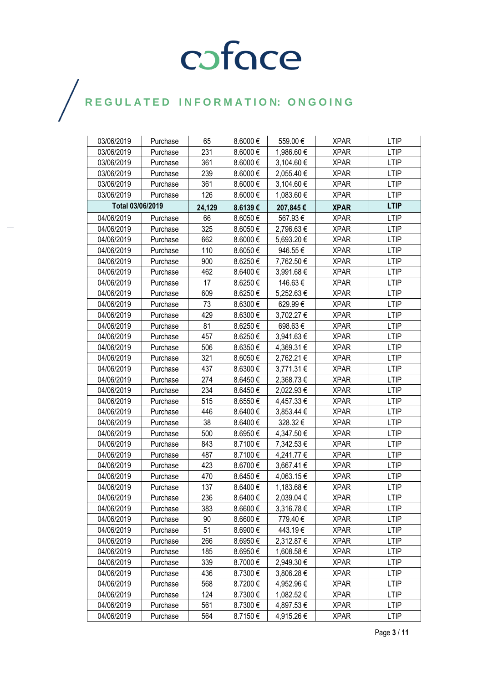| 03/06/2019       | Purchase | 65     | 8.6000€      | 559.00€    | <b>XPAR</b> | <b>LTIP</b> |
|------------------|----------|--------|--------------|------------|-------------|-------------|
| 03/06/2019       | Purchase | 231    | 8.6000€      | 1,986.60 € | <b>XPAR</b> | <b>LTIP</b> |
| 03/06/2019       | Purchase | 361    | 8.6000€      | 3,104.60 € | <b>XPAR</b> | <b>LTIP</b> |
| 03/06/2019       | Purchase | 239    | 8.6000€      | 2,055.40 € | <b>XPAR</b> | <b>LTIP</b> |
| 03/06/2019       | Purchase | 361    | 8.6000€      | 3,104.60 € | <b>XPAR</b> | <b>LTIP</b> |
| 03/06/2019       | Purchase | 126    | 8.6000€      | 1,083.60 € | <b>XPAR</b> | <b>LTIP</b> |
| Total 03/06/2019 |          | 24,129 | 8.6139€      | 207,845€   | <b>XPAR</b> | <b>LTIP</b> |
| 04/06/2019       | Purchase | 66     | 8.6050€      | 567.93€    | <b>XPAR</b> | <b>LTIP</b> |
| 04/06/2019       | Purchase | 325    | 8.6050€      | 2,796.63 € | <b>XPAR</b> | <b>LTIP</b> |
| 04/06/2019       | Purchase | 662    | 8.6000€      | 5,693.20 € | <b>XPAR</b> | <b>LTIP</b> |
| 04/06/2019       | Purchase | 110    | 8.6050€      | 946.55€    | <b>XPAR</b> | <b>LTIP</b> |
| 04/06/2019       | Purchase | 900    | 8.6250€      | 7,762.50€  | <b>XPAR</b> | <b>LTIP</b> |
| 04/06/2019       | Purchase | 462    | 8.6400€      | 3,991.68€  | <b>XPAR</b> | <b>LTIP</b> |
| 04/06/2019       | Purchase | 17     | 8.6250€      | 146.63€    | <b>XPAR</b> | <b>LTIP</b> |
| 04/06/2019       | Purchase | 609    | 8.6250€      | 5,252.63 € | <b>XPAR</b> | <b>LTIP</b> |
| 04/06/2019       | Purchase | 73     | 8.6300€      | 629.99€    | <b>XPAR</b> | <b>LTIP</b> |
| 04/06/2019       | Purchase | 429    | 8.6300€      | 3,702.27 € | XPAR        | LTIP        |
| 04/06/2019       | Purchase | 81     | 8.6250€      | 698.63€    | <b>XPAR</b> | <b>LTIP</b> |
| 04/06/2019       | Purchase | 457    | 8.6250€      | 3,941.63 € | <b>XPAR</b> | <b>LTIP</b> |
| 04/06/2019       | Purchase | 506    | 8.6350€      | 4,369.31 € | <b>XPAR</b> | <b>LTIP</b> |
| 04/06/2019       | Purchase | 321    | 8.6050€      | 2,762.21 € | <b>XPAR</b> | <b>LTIP</b> |
| 04/06/2019       | Purchase | 437    | 8.6300€      | 3,771.31 € | XPAR        | <b>LTIP</b> |
| 04/06/2019       | Purchase | 274    | 8.6450€      | 2,368.73€  | <b>XPAR</b> | <b>LTIP</b> |
| 04/06/2019       | Purchase | 234    | 8.6450€      | 2,022.93€  | <b>XPAR</b> | <b>LTIP</b> |
| 04/06/2019       | Purchase | 515    | 8.6550€      | 4,457.33 € | <b>XPAR</b> | <b>LTIP</b> |
| 04/06/2019       | Purchase | 446    | 8.6400€      | 3,853.44 € | <b>XPAR</b> | <b>LTIP</b> |
| 04/06/2019       | Purchase | 38     | 8.6400€      | 328.32€    | <b>XPAR</b> | <b>LTIP</b> |
| 04/06/2019       | Purchase | 500    | 8.6950€      | 4,347.50 € | <b>XPAR</b> | <b>LTIP</b> |
| 04/06/2019       | Purchase | 843    | 8.7100€      | 7,342.53 € | <b>XPAR</b> | <b>LTIP</b> |
| 04/06/2019       | Purchase | 487    | 8.7100€      | 4,241.77 € | <b>XPAR</b> | <b>LTIP</b> |
| 04/06/2019       | Purchase | 423    | 8.6700€      | 3,667.41 € | <b>XPAR</b> | <b>LTIP</b> |
| 04/06/2019       | Purchase | 470    | 8.6450€      | 4,063.15€  | <b>XPAR</b> | <b>LTIP</b> |
| 04/06/2019       | Purchase | 137    | 8.6400€      | 1,183.68 € | <b>XPAR</b> | <b>LTIP</b> |
| 04/06/2019       | Purchase | 236    | 8.6400€      | 2,039.04 € | <b>XPAR</b> | <b>LTIP</b> |
| 04/06/2019       | Purchase | 383    | $8.6600 \in$ | 3,316.78 € | <b>XPAR</b> | LTIP        |
| 04/06/2019       | Purchase | 90     | 8.6600€      | 779.40€    | <b>XPAR</b> | <b>LTIP</b> |
| 04/06/2019       | Purchase | 51     | 8.6900€      | 443.19€    | <b>XPAR</b> | <b>LTIP</b> |
| 04/06/2019       | Purchase | 266    | 8.6950€      | 2,312.87 € | <b>XPAR</b> | <b>LTIP</b> |
| 04/06/2019       | Purchase | 185    | 8.6950€      | 1,608.58 € | <b>XPAR</b> | <b>LTIP</b> |
| 04/06/2019       | Purchase | 339    | 8.7000€      | 2,949.30 € | <b>XPAR</b> | <b>LTIP</b> |
| 04/06/2019       | Purchase | 436    | 8.7300€      | 3,806.28€  | <b>XPAR</b> | <b>LTIP</b> |
| 04/06/2019       | Purchase | 568    | 8.7200€      | 4,952.96 € | <b>XPAR</b> | <b>LTIP</b> |
| 04/06/2019       | Purchase | 124    | 8.7300€      | 1,082.52€  | <b>XPAR</b> | <b>LTIP</b> |
| 04/06/2019       | Purchase | 561    | 8.7300€      | 4,897.53 € | <b>XPAR</b> | <b>LTIP</b> |
| 04/06/2019       | Purchase | 564    | 8.7150€      | 4,915.26 € | <b>XPAR</b> | <b>LTIP</b> |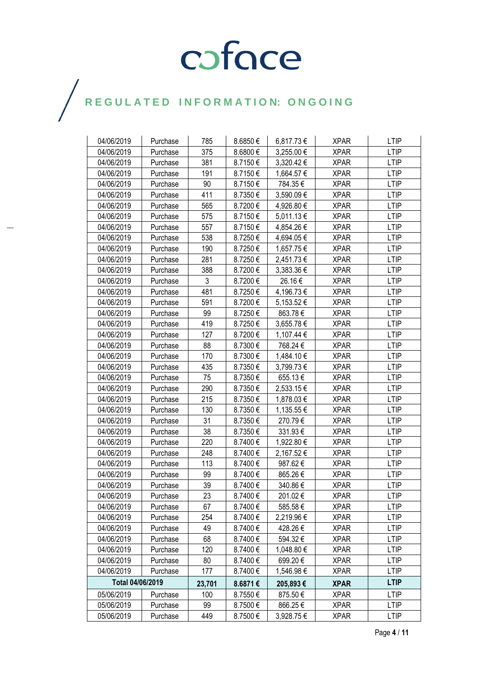| 04/06/2019       | Purchase | 785    | 8.6850€ | 6,817.73€  | <b>XPAR</b> | <b>LTIP</b> |
|------------------|----------|--------|---------|------------|-------------|-------------|
| 04/06/2019       | Purchase | 375    | 8.6800€ | 3,255.00€  | <b>XPAR</b> | <b>LTIP</b> |
| 04/06/2019       | Purchase | 381    | 8.7150€ | 3,320.42 € | <b>XPAR</b> | LTIP        |
| 04/06/2019       | Purchase | 191    | 8.7150€ | 1,664.57 € | <b>XPAR</b> | <b>LTIP</b> |
| 04/06/2019       | Purchase | 90     | 8.7150€ | 784.35€    | <b>XPAR</b> | <b>LTIP</b> |
| 04/06/2019       | Purchase | 411    | 8.7350€ | 3,590.09€  | <b>XPAR</b> | <b>LTIP</b> |
| 04/06/2019       | Purchase | 565    | 8.7200€ | 4,926.80 € | <b>XPAR</b> | <b>LTIP</b> |
| 04/06/2019       | Purchase | 575    | 8.7150€ | 5,011.13 € | <b>XPAR</b> | <b>LTIP</b> |
| 04/06/2019       | Purchase | 557    | 8.7150€ | 4,854.26€  | <b>XPAR</b> | <b>LTIP</b> |
| 04/06/2019       | Purchase | 538    | 8.7250€ | 4,694.05€  | <b>XPAR</b> | <b>LTIP</b> |
| 04/06/2019       | Purchase | 190    | 8.7250€ | 1,657.75€  | <b>XPAR</b> | <b>LTIP</b> |
| 04/06/2019       | Purchase | 281    | 8.7250€ | 2,451.73 € | <b>XPAR</b> | LTIP        |
| 04/06/2019       | Purchase | 388    | 8.7200€ | 3,383.36 € | <b>XPAR</b> | <b>LTIP</b> |
| 04/06/2019       | Purchase | 3      | 8.7200€ | 26.16€     | <b>XPAR</b> | <b>LTIP</b> |
| 04/06/2019       | Purchase | 481    | 8.7250€ | 4,196.73 € | <b>XPAR</b> | <b>LTIP</b> |
| 04/06/2019       | Purchase | 591    | 8.7200€ | 5,153.52 € | <b>XPAR</b> | <b>LTIP</b> |
| 04/06/2019       | Purchase | 99     | 8.7250€ | 863.78€    | <b>XPAR</b> | LTIP        |
| 04/06/2019       | Purchase | 419    | 8.7250€ | 3,655.78€  | <b>XPAR</b> | <b>LTIP</b> |
| 04/06/2019       | Purchase | 127    | 8.7200€ | 1,107.44 € | <b>XPAR</b> | <b>LTIP</b> |
| 04/06/2019       | Purchase | 88     | 8.7300€ | 768.24€    | <b>XPAR</b> | <b>LTIP</b> |
| 04/06/2019       | Purchase | 170    | 8.7300€ | 1,484.10 € | <b>XPAR</b> | <b>LTIP</b> |
| 04/06/2019       | Purchase | 435    | 8.7350€ | 3,799.73€  | <b>XPAR</b> | <b>LTIP</b> |
| 04/06/2019       | Purchase | 75     | 8.7350€ | 655.13€    | <b>XPAR</b> | <b>LTIP</b> |
| 04/06/2019       | Purchase | 290    | 8.7350€ | 2,533.15€  | <b>XPAR</b> | LTIP        |
| 04/06/2019       | Purchase | 215    | 8.7350€ | 1,878.03 € | <b>XPAR</b> | <b>LTIP</b> |
| 04/06/2019       | Purchase | 130    | 8.7350€ | 1,135.55 € | <b>XPAR</b> | <b>LTIP</b> |
| 04/06/2019       | Purchase | 31     | 8.7350€ | 270.79€    | <b>XPAR</b> | <b>LTIP</b> |
| 04/06/2019       | Purchase | 38     | 8.7350€ | 331.93€    | <b>XPAR</b> | <b>LTIP</b> |
| 04/06/2019       | Purchase | 220    | 8.7400€ | 1,922.80 € | <b>XPAR</b> | <b>LTIP</b> |
| 04/06/2019       | Purchase | 248    | 8.7400€ | 2,167.52€  | <b>XPAR</b> | <b>LTIP</b> |
| 04/06/2019       | Purchase | 113    | 8.7400€ | 987.62€    | <b>XPAR</b> | <b>LTIP</b> |
| 04/06/2019       | Purchase | 99     | 8.7400€ | 865.26€    | <b>XPAR</b> | <b>LTIP</b> |
| 04/06/2019       | Purchase | 39     | 8.7400€ | 340.86€    | <b>XPAR</b> | <b>LTIP</b> |
| 04/06/2019       | Purchase | 23     | 8.7400€ | 201.02€    | <b>XPAR</b> | <b>LTIP</b> |
| 04/06/2019       | Purchase | 67     | 8.7400€ | 585.58€    | <b>XPAR</b> | <b>LTIP</b> |
| 04/06/2019       | Purchase | 254    | 8.7400€ | 2,219.96€  | <b>XPAR</b> | LTIP        |
| 04/06/2019       | Purchase | 49     | 8.7400€ | 428.26€    | <b>XPAR</b> | <b>LTIP</b> |
| 04/06/2019       | Purchase | 68     | 8.7400€ | 594.32€    | <b>XPAR</b> | <b>LTIP</b> |
| 04/06/2019       | Purchase | 120    | 8.7400€ | 1,048.80 € | <b>XPAR</b> | <b>LTIP</b> |
| 04/06/2019       | Purchase | 80     | 8.7400€ | 699.20€    | <b>XPAR</b> | <b>LTIP</b> |
| 04/06/2019       | Purchase | 177    | 8.7400€ | 1,546.98 € | <b>XPAR</b> | LTIP        |
| Total 04/06/2019 |          | 23,701 | 8.6871€ | 205,893€   | <b>XPAR</b> | <b>LTIP</b> |
| 05/06/2019       | Purchase | 100    | 8.7550€ | 875.50€    | <b>XPAR</b> | <b>LTIP</b> |
| 05/06/2019       | Purchase | 99     | 8.7500€ | 866.25€    | <b>XPAR</b> | <b>LTIP</b> |
| 05/06/2019       | Purchase | 449    | 8.7500€ | 3,928.75€  | <b>XPAR</b> | <b>LTIP</b> |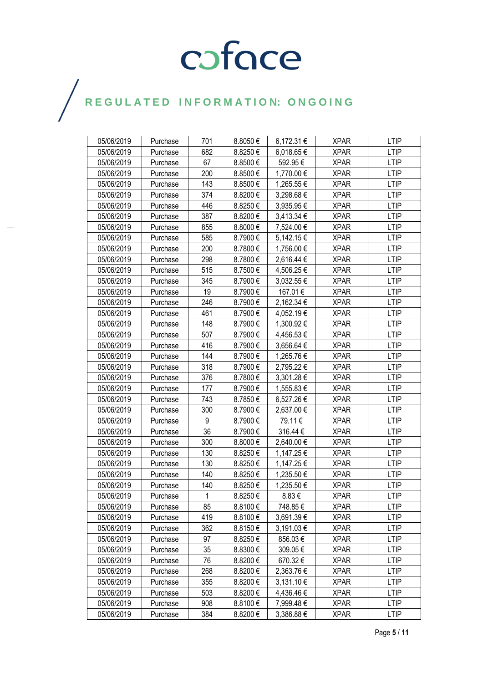| 05/06/2019 | Purchase | 701 | 8.8050€      | 6,172.31 € | <b>XPAR</b> | <b>LTIP</b> |
|------------|----------|-----|--------------|------------|-------------|-------------|
| 05/06/2019 | Purchase | 682 | 8.8250€      | 6,018.65 € | <b>XPAR</b> | <b>LTIP</b> |
| 05/06/2019 | Purchase | 67  | 8.8500€      | 592.95€    | <b>XPAR</b> | <b>LTIP</b> |
| 05/06/2019 | Purchase | 200 | 8.8500€      | 1,770.00 € | <b>XPAR</b> | <b>LTIP</b> |
| 05/06/2019 | Purchase | 143 | 8.8500€      | 1,265.55€  | <b>XPAR</b> | <b>LTIP</b> |
| 05/06/2019 | Purchase | 374 | 8.8200€      | 3,298.68 € | <b>XPAR</b> | <b>LTIP</b> |
| 05/06/2019 | Purchase | 446 | 8.8250€      | 3,935.95 € | <b>XPAR</b> | <b>LTIP</b> |
| 05/06/2019 | Purchase | 387 | 8.8200€      | 3,413.34 € | <b>XPAR</b> | LTIP        |
| 05/06/2019 | Purchase | 855 | 8.8000€      | 7,524.00 € | <b>XPAR</b> | <b>LTIP</b> |
| 05/06/2019 | Purchase | 585 | 8.7900€      | 5,142.15 € | <b>XPAR</b> | <b>LTIP</b> |
| 05/06/2019 | Purchase | 200 | 8.7800€      | 1,756.00 € | <b>XPAR</b> | <b>LTIP</b> |
| 05/06/2019 | Purchase | 298 | 8.7800€      | 2,616.44 € | <b>XPAR</b> | <b>LTIP</b> |
| 05/06/2019 | Purchase | 515 | 8.7500€      | 4,506.25 € | <b>XPAR</b> | <b>LTIP</b> |
| 05/06/2019 | Purchase | 345 | 8.7900€      | 3,032.55 € | <b>XPAR</b> | LTIP        |
| 05/06/2019 | Purchase | 19  | 8.7900€      | 167.01€    | <b>XPAR</b> | <b>LTIP</b> |
| 05/06/2019 | Purchase | 246 | 8.7900€      | 2,162.34 € | <b>XPAR</b> | <b>LTIP</b> |
| 05/06/2019 | Purchase | 461 | 8.7900€      | 4,052.19€  | <b>XPAR</b> | LTIP        |
| 05/06/2019 | Purchase | 148 | 8.7900€      | 1,300.92 € | <b>XPAR</b> | <b>LTIP</b> |
| 05/06/2019 | Purchase | 507 | 8.7900€      | 4,456.53€  | <b>XPAR</b> | <b>LTIP</b> |
| 05/06/2019 | Purchase | 416 | 8.7900€      | 3,656.64 € | <b>XPAR</b> | <b>LTIP</b> |
| 05/06/2019 | Purchase | 144 | 8.7900€      | 1,265.76 € | <b>XPAR</b> | <b>LTIP</b> |
| 05/06/2019 | Purchase | 318 | 8.7900€      | 2,795.22 € | <b>XPAR</b> | <b>LTIP</b> |
| 05/06/2019 | Purchase | 376 | 8.7800€      | 3,301.28 € | <b>XPAR</b> | <b>LTIP</b> |
| 05/06/2019 | Purchase | 177 | 8.7900€      | 1,555.83 € | <b>XPAR</b> | <b>LTIP</b> |
| 05/06/2019 | Purchase | 743 | 8.7850€      | 6,527.26€  | <b>XPAR</b> | <b>LTIP</b> |
| 05/06/2019 | Purchase | 300 | 8.7900€      | 2,637.00 € | <b>XPAR</b> | LTIP        |
| 05/06/2019 | Purchase | 9   | 8.7900€      | 79.11€     | <b>XPAR</b> | <b>LTIP</b> |
| 05/06/2019 | Purchase | 36  | 8.7900€      | 316.44€    | <b>XPAR</b> | <b>LTIP</b> |
| 05/06/2019 | Purchase | 300 | 8.8000€      | 2,640.00 € | <b>XPAR</b> | <b>LTIP</b> |
| 05/06/2019 | Purchase | 130 | 8.8250€      | 1,147.25 € | <b>XPAR</b> | <b>LTIP</b> |
| 05/06/2019 | Purchase | 130 | 8.8250€      | 1,147.25€  | <b>XPAR</b> | LTIP        |
| 05/06/2019 | Purchase | 140 | 8.8250€      | 1,235.50 € | <b>XPAR</b> | <b>LTIP</b> |
| 05/06/2019 | Purchase | 140 | 8.8250€      | 1,235.50 € | <b>XPAR</b> | <b>LTIP</b> |
| 05/06/2019 | Purchase | 1   | 8.8250€      | 8.83€      | <b>XPAR</b> | <b>LTIP</b> |
| 05/06/2019 | Purchase | 85  | 8.8100€      | 748.85€    | <b>XPAR</b> | <b>LTIP</b> |
| 05/06/2019 | Purchase | 419 | 8.8100€      | 3,691.39€  | <b>XPAR</b> | <b>LTIP</b> |
| 05/06/2019 | Purchase | 362 | 8.8150€      | 3,191.03 € | <b>XPAR</b> | <b>LTIP</b> |
| 05/06/2019 | Purchase | 97  | 8.8250€      | 856.03€    | <b>XPAR</b> | LTIP        |
| 05/06/2019 | Purchase | 35  | 8.8300€      | 309.05€    | <b>XPAR</b> | <b>LTIP</b> |
| 05/06/2019 | Purchase | 76  | 8.8200€      | 670.32€    | <b>XPAR</b> | <b>LTIP</b> |
| 05/06/2019 | Purchase | 268 | 8.8200€      | 2,363.76 € | <b>XPAR</b> | LTIP        |
| 05/06/2019 | Purchase | 355 | 8.8200€      | 3,131.10 € | <b>XPAR</b> | <b>LTIP</b> |
| 05/06/2019 | Purchase | 503 | $8.8200 \in$ | 4,436.46€  | <b>XPAR</b> | LTIP        |
| 05/06/2019 | Purchase | 908 | 8.8100€      | 7,999.48 € | <b>XPAR</b> | <b>LTIP</b> |
| 05/06/2019 | Purchase | 384 | 8.8200€      | 3,386.88 € | <b>XPAR</b> | <b>LTIP</b> |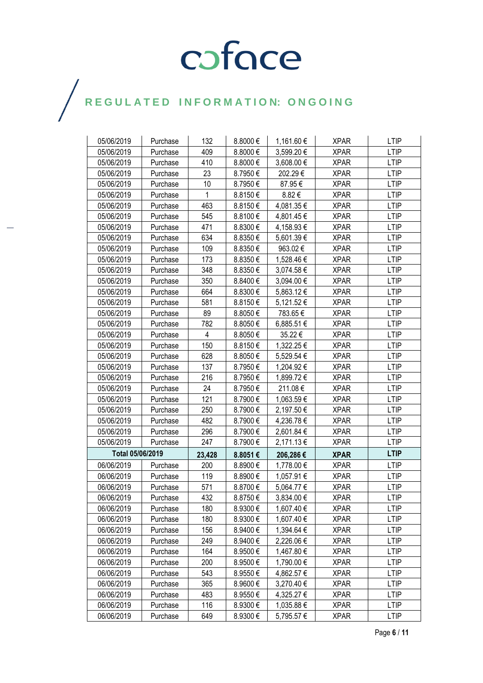| 05/06/2019       | Purchase | 132            | 8.8000€ | 1,161.60 € | <b>XPAR</b> | <b>LTIP</b> |
|------------------|----------|----------------|---------|------------|-------------|-------------|
| 05/06/2019       | Purchase | 409            | 8.8000€ | 3,599.20€  | <b>XPAR</b> | <b>LTIP</b> |
| 05/06/2019       | Purchase | 410            | 8.8000€ | 3,608.00 € | <b>XPAR</b> | <b>LTIP</b> |
| 05/06/2019       | Purchase | 23             | 8.7950€ | 202.29€    | <b>XPAR</b> | <b>LTIP</b> |
| 05/06/2019       | Purchase | 10             | 8.7950€ | 87.95€     | <b>XPAR</b> | <b>LTIP</b> |
| 05/06/2019       | Purchase | 1              | 8.8150€ | 8.82€      | <b>XPAR</b> | <b>LTIP</b> |
| 05/06/2019       | Purchase | 463            | 8.8150€ | 4,081.35€  | <b>XPAR</b> | <b>LTIP</b> |
| 05/06/2019       | Purchase | 545            | 8.8100€ | 4,801.45 € | <b>XPAR</b> | <b>LTIP</b> |
| 05/06/2019       | Purchase | 471            | 8.8300€ | 4,158.93€  | <b>XPAR</b> | <b>LTIP</b> |
| 05/06/2019       | Purchase | 634            | 8.8350€ | 5,601.39€  | <b>XPAR</b> | <b>LTIP</b> |
| 05/06/2019       | Purchase | 109            | 8.8350€ | 963.02€    | <b>XPAR</b> | <b>LTIP</b> |
| 05/06/2019       | Purchase | 173            | 8.8350€ | 1,528.46 € | <b>XPAR</b> | <b>LTIP</b> |
| 05/06/2019       | Purchase | 348            | 8.8350€ | 3,074.58 € | <b>XPAR</b> | <b>LTIP</b> |
| 05/06/2019       | Purchase | 350            | 8.8400€ | 3,094.00 € | <b>XPAR</b> | <b>LTIP</b> |
| 05/06/2019       | Purchase | 664            | 8.8300€ | 5,863.12€  | <b>XPAR</b> | <b>LTIP</b> |
| 05/06/2019       | Purchase | 581            | 8.8150€ | 5,121.52 € | <b>XPAR</b> | <b>LTIP</b> |
| 05/06/2019       | Purchase | 89             | 8.8050€ | 783.65€    | <b>XPAR</b> | <b>LTIP</b> |
| 05/06/2019       | Purchase | 782            | 8.8050€ | 6,885.51€  | <b>XPAR</b> | <b>LTIP</b> |
| 05/06/2019       | Purchase | $\overline{4}$ | 8.8050€ | 35.22€     | XPAR        | <b>LTIP</b> |
| 05/06/2019       | Purchase | 150            | 8.8150€ | 1,322.25 € | <b>XPAR</b> | <b>LTIP</b> |
| 05/06/2019       | Purchase | 628            | 8.8050€ | 5,529.54 € | <b>XPAR</b> | <b>LTIP</b> |
| 05/06/2019       | Purchase | 137            | 8.7950€ | 1,204.92€  | <b>XPAR</b> | <b>LTIP</b> |
| 05/06/2019       | Purchase | 216            | 8.7950€ | 1,899.72€  | <b>XPAR</b> | <b>LTIP</b> |
| 05/06/2019       | Purchase | 24             | 8.7950€ | 211.08€    | XPAR        | <b>LTIP</b> |
| 05/06/2019       | Purchase | 121            | 8.7900€ | 1,063.59€  | <b>XPAR</b> | <b>LTIP</b> |
| 05/06/2019       | Purchase | 250            | 8.7900€ | 2,197.50€  | <b>XPAR</b> | <b>LTIP</b> |
| 05/06/2019       | Purchase | 482            | 8.7900€ | 4,236.78€  | <b>XPAR</b> | <b>LTIP</b> |
| 05/06/2019       | Purchase | 296            | 8.7900€ | 2,601.84 € | <b>XPAR</b> | <b>LTIP</b> |
| 05/06/2019       | Purchase | 247            | 8.7900€ | 2,171.13€  | <b>XPAR</b> | <b>LTIP</b> |
| Total 05/06/2019 |          | 23,428         | 8.8051€ | 206,286€   | <b>XPAR</b> | <b>LTIP</b> |
| 06/06/2019       | Purchase | 200            | 8.8900€ | 1,778.00 € | <b>XPAR</b> | <b>LTIP</b> |
| 06/06/2019       | Purchase | 119            | 8.8900€ | 1,057.91 € | <b>XPAR</b> | <b>LTIP</b> |
| 06/06/2019       | Purchase | 571            | 8.8700€ | 5,064.77 € | <b>XPAR</b> | <b>LTIP</b> |
| 06/06/2019       | Purchase | 432            | 8.8750€ | 3,834.00 € | <b>XPAR</b> | <b>LTIP</b> |
| 06/06/2019       | Purchase | 180            | 8.9300€ | 1,607.40 € | <b>XPAR</b> | <b>LTIP</b> |
| 06/06/2019       | Purchase | 180            | 8.9300€ | 1,607.40 € | <b>XPAR</b> | <b>LTIP</b> |
| 06/06/2019       | Purchase | 156            | 8.9400€ | 1,394.64 € | <b>XPAR</b> | <b>LTIP</b> |
| 06/06/2019       | Purchase | 249            | 8.9400€ | 2,226.06 € | <b>XPAR</b> | <b>LTIP</b> |
| 06/06/2019       | Purchase | 164            | 8.9500€ | 1,467.80 € | <b>XPAR</b> | <b>LTIP</b> |
| 06/06/2019       | Purchase | 200            | 8.9500€ | 1,790.00 € | <b>XPAR</b> | <b>LTIP</b> |
| 06/06/2019       | Purchase | 543            | 8.9550€ | 4,862.57 € | <b>XPAR</b> | <b>LTIP</b> |
| 06/06/2019       | Purchase | 365            | 8.9600€ | 3,270.40 € | <b>XPAR</b> | <b>LTIP</b> |
| 06/06/2019       | Purchase | 483            | 8.9550€ | 4,325.27 € | <b>XPAR</b> | <b>LTIP</b> |
| 06/06/2019       | Purchase | 116            | 8.9300€ | 1,035.88 € | <b>XPAR</b> | <b>LTIP</b> |
| 06/06/2019       | Purchase | 649            | 8.9300€ | 5,795.57€  | <b>XPAR</b> | <b>LTIP</b> |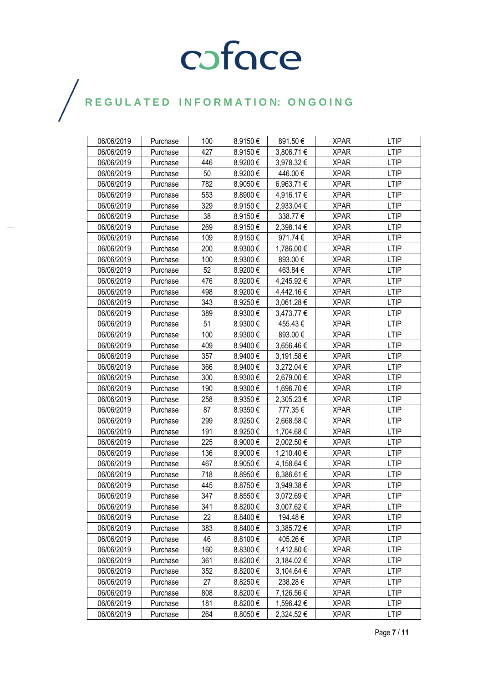| 06/06/2019 | Purchase | 100 | 8.9150€ | 891.50€        | <b>XPAR</b> | <b>LTIP</b> |
|------------|----------|-----|---------|----------------|-------------|-------------|
| 06/06/2019 | Purchase | 427 | 8.9150€ | 3,806.71 €     | <b>XPAR</b> | <b>LTIP</b> |
| 06/06/2019 | Purchase | 446 | 8.9200€ | 3,978.32€      | <b>XPAR</b> | LTIP        |
| 06/06/2019 | Purchase | 50  | 8.9200€ | 446.00€        | <b>XPAR</b> | <b>LTIP</b> |
| 06/06/2019 | Purchase | 782 | 8.9050€ | 6,963.71€      | <b>XPAR</b> | <b>LTIP</b> |
| 06/06/2019 | Purchase | 553 | 8.8900€ | 4,916.17€      | <b>XPAR</b> | <b>LTIP</b> |
| 06/06/2019 | Purchase | 329 | 8.9150€ | 2,933.04 €     | <b>XPAR</b> | <b>LTIP</b> |
| 06/06/2019 | Purchase | 38  | 8.9150€ | 338.77€        | <b>XPAR</b> | <b>LTIP</b> |
| 06/06/2019 | Purchase | 269 | 8.9150€ | 2,398.14 €     | <b>XPAR</b> | <b>LTIP</b> |
| 06/06/2019 | Purchase | 109 | 8.9150€ | 971.74€        | <b>XPAR</b> | <b>LTIP</b> |
| 06/06/2019 | Purchase | 200 | 8.9300€ | 1,786.00 €     | <b>XPAR</b> | <b>LTIP</b> |
| 06/06/2019 | Purchase | 100 | 8.9300€ | 893.00€        | <b>XPAR</b> | LTIP        |
| 06/06/2019 | Purchase | 52  | 8.9200€ | 463.84€        | <b>XPAR</b> | <b>LTIP</b> |
| 06/06/2019 | Purchase | 476 | 8.9200€ | 4,245.92€      | <b>XPAR</b> | <b>LTIP</b> |
| 06/06/2019 | Purchase | 498 | 8.9200€ | 4,442.16€      | <b>XPAR</b> | <b>LTIP</b> |
| 06/06/2019 | Purchase | 343 | 8.9250€ | 3,061.28 €     | <b>XPAR</b> | <b>LTIP</b> |
| 06/06/2019 | Purchase | 389 | 8.9300€ | 3,473.77 €     | <b>XPAR</b> | LTIP        |
| 06/06/2019 | Purchase | 51  | 8.9300€ | 455.43€        | <b>XPAR</b> | <b>LTIP</b> |
| 06/06/2019 | Purchase | 100 | 8.9300€ | 893.00€        | <b>XPAR</b> | <b>LTIP</b> |
| 06/06/2019 | Purchase | 409 | 8.9400€ | 3,656.46€      | <b>XPAR</b> | <b>LTIP</b> |
| 06/06/2019 | Purchase | 357 | 8.9400€ | 3,191.58 €     | <b>XPAR</b> | <b>LTIP</b> |
| 06/06/2019 | Purchase | 366 | 8.9400€ | 3,272.04 €     | <b>XPAR</b> | <b>LTIP</b> |
| 06/06/2019 | Purchase | 300 | 8.9300€ | 2,679.00 €     | <b>XPAR</b> | <b>LTIP</b> |
| 06/06/2019 | Purchase | 190 | 8.9300€ | 1,696.70 €     | <b>XPAR</b> | <b>LTIP</b> |
| 06/06/2019 | Purchase | 258 | 8.9350€ | 2,305.23€      | <b>XPAR</b> | <b>LTIP</b> |
| 06/06/2019 | Purchase | 87  | 8.9350€ | 777.35€        | <b>XPAR</b> | <b>LTIP</b> |
| 06/06/2019 | Purchase | 299 | 8.9250€ | 2,668.58€      | <b>XPAR</b> | <b>LTIP</b> |
| 06/06/2019 | Purchase | 191 | 8.9250€ | 1,704.68 €     | <b>XPAR</b> | <b>LTIP</b> |
| 06/06/2019 | Purchase | 225 | 8.9000€ | 2,002.50 €     | <b>XPAR</b> | <b>LTIP</b> |
| 06/06/2019 | Purchase | 136 | 8.9000€ | 1,210.40 €     | <b>XPAR</b> | <b>LTIP</b> |
| 06/06/2019 | Purchase | 467 | 8.9050€ | 4,158.64 €     | <b>XPAR</b> | <b>LTIP</b> |
| 06/06/2019 | Purchase | 718 | 8.8950€ | 6,386.61 €     | <b>XPAR</b> | <b>LTIP</b> |
| 06/06/2019 | Purchase | 445 | 8.8750€ | 3,949.38€      | <b>XPAR</b> | <b>LTIP</b> |
| 06/06/2019 | Purchase | 347 | 8.8550€ | 3,072.69€      | <b>XPAR</b> | <b>LTIP</b> |
| 06/06/2019 | Purchase | 341 | 8.8200€ | 3,007.62 €     | <b>XPAR</b> | <b>LTIP</b> |
| 06/06/2019 | Purchase | 22  | 8.8400€ | 194.48 €       | <b>XPAR</b> | LTIP        |
| 06/06/2019 | Purchase | 383 | 8.8400€ | 3,385.72€      | <b>XPAR</b> | <b>LTIP</b> |
| 06/06/2019 | Purchase | 46  | 8.8100€ | 405.26€        | <b>XPAR</b> | <b>LTIP</b> |
| 06/06/2019 | Purchase | 160 | 8.8300€ | 1,412.80 €     | <b>XPAR</b> | <b>LTIP</b> |
| 06/06/2019 | Purchase | 361 | 8.8200€ | 3,184.02 €     | <b>XPAR</b> | <b>LTIP</b> |
| 06/06/2019 | Purchase | 352 | 8.8200€ | $3,104.64 \in$ | <b>XPAR</b> | <b>LTIP</b> |
| 06/06/2019 | Purchase | 27  | 8.8250€ | 238.28€        | <b>XPAR</b> | <b>LTIP</b> |
| 06/06/2019 | Purchase | 808 | 8.8200€ | 7,126.56 €     | <b>XPAR</b> | LTIP        |
| 06/06/2019 | Purchase | 181 | 8.8200€ | 1,596.42 €     | <b>XPAR</b> | <b>LTIP</b> |
| 06/06/2019 | Purchase | 264 | 8.8050€ | 2,324.52 €     | <b>XPAR</b> | <b>LTIP</b> |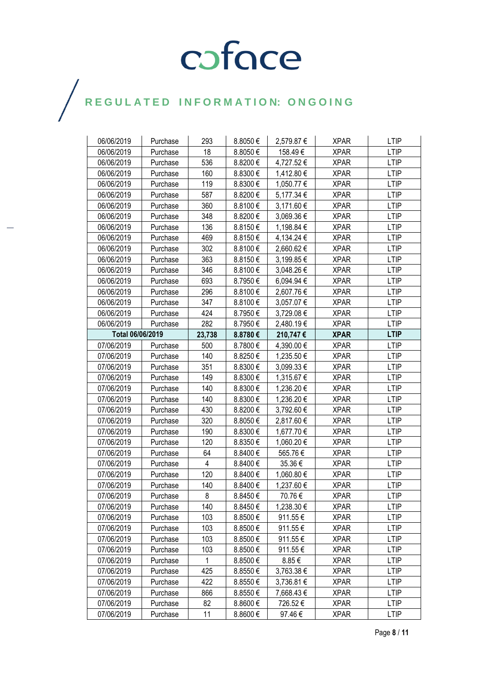| 06/06/2019       | Purchase | 293          | 8.8050€      | 2,579.87 € | <b>XPAR</b> | <b>LTIP</b> |
|------------------|----------|--------------|--------------|------------|-------------|-------------|
| 06/06/2019       | Purchase | 18           | 8.8050€      | 158.49€    | <b>XPAR</b> | <b>LTIP</b> |
| 06/06/2019       | Purchase | 536          | 8.8200€      | 4,727.52€  | <b>XPAR</b> | <b>LTIP</b> |
| 06/06/2019       | Purchase | 160          | 8.8300€      | 1,412.80 € | <b>XPAR</b> | <b>LTIP</b> |
| 06/06/2019       | Purchase | 119          | 8.8300€      | 1,050.77€  | <b>XPAR</b> | <b>LTIP</b> |
| 06/06/2019       | Purchase | 587          | 8.8200€      | 5,177.34 € | <b>XPAR</b> | <b>LTIP</b> |
| 06/06/2019       | Purchase | 360          | 8.8100€      | 3,171.60 € | <b>XPAR</b> | <b>LTIP</b> |
| 06/06/2019       | Purchase | 348          | 8.8200€      | 3,069.36€  | <b>XPAR</b> | <b>LTIP</b> |
| 06/06/2019       | Purchase | 136          | 8.8150€      | 1,198.84 € | <b>XPAR</b> | <b>LTIP</b> |
| 06/06/2019       | Purchase | 469          | 8.8150€      | 4,134.24 € | <b>XPAR</b> | <b>LTIP</b> |
| 06/06/2019       | Purchase | 302          | 8.8100€      | 2,660.62€  | <b>XPAR</b> | <b>LTIP</b> |
| 06/06/2019       | Purchase | 363          | 8.8150€      | 3,199.85 € | <b>XPAR</b> | <b>LTIP</b> |
| 06/06/2019       | Purchase | 346          | 8.8100€      | 3,048.26 € | <b>XPAR</b> | <b>LTIP</b> |
| 06/06/2019       | Purchase | 693          | 8.7950€      | 6,094.94 € | <b>XPAR</b> | <b>LTIP</b> |
| 06/06/2019       | Purchase | 296          | 8.8100€      | 2,607.76€  | <b>XPAR</b> | <b>LTIP</b> |
| 06/06/2019       | Purchase | 347          | 8.8100€      | 3,057.07 € | <b>XPAR</b> | <b>LTIP</b> |
| 06/06/2019       | Purchase | 424          | 8.7950€      | 3,729.08€  | <b>XPAR</b> | LTIP        |
| 06/06/2019       | Purchase | 282          | 8.7950€      | 2,480.19€  | <b>XPAR</b> | <b>LTIP</b> |
| Total 06/06/2019 |          | 23,738       | 8.8780€      | 210,747€   | <b>XPAR</b> | <b>LTIP</b> |
| 07/06/2019       | Purchase | 500          | 8.7800€      | 4,390.00 € | <b>XPAR</b> | <b>LTIP</b> |
| 07/06/2019       | Purchase | 140          | 8.8250€      | 1,235.50 € | <b>XPAR</b> | <b>LTIP</b> |
| 07/06/2019       | Purchase | 351          | 8.8300€      | 3,099.33€  | <b>XPAR</b> | <b>LTIP</b> |
| 07/06/2019       | Purchase | 149          | 8.8300€      | 1,315.67 € | <b>XPAR</b> | <b>LTIP</b> |
| 07/06/2019       | Purchase | 140          | 8.8300€      | 1,236.20€  | <b>XPAR</b> | <b>LTIP</b> |
| 07/06/2019       | Purchase | 140          | 8.8300€      | 1,236.20 € | <b>XPAR</b> | <b>LTIP</b> |
| 07/06/2019       | Purchase | 430          | 8.8200€      | 3,792.60 € | <b>XPAR</b> | <b>LTIP</b> |
| 07/06/2019       | Purchase | 320          | 8.8050€      | 2,817.60€  | <b>XPAR</b> | <b>LTIP</b> |
| 07/06/2019       | Purchase | 190          | 8.8300€      | 1,677.70€  | <b>XPAR</b> | <b>LTIP</b> |
| 07/06/2019       | Purchase | 120          | 8.8350€      | 1,060.20 € | <b>XPAR</b> | <b>LTIP</b> |
| 07/06/2019       | Purchase | 64           | 8.8400€      | 565.76€    | <b>XPAR</b> | <b>LTIP</b> |
| 07/06/2019       | Purchase | 4            | 8.8400€      | 35.36€     | <b>XPAR</b> | <b>LTIP</b> |
| 07/06/2019       | Purchase | 120          | 8.8400€      | 1,060.80 € | <b>XPAR</b> | LTIP        |
| 07/06/2019       | Purchase | 140          | 8.8400€      | 1,237.60 € | <b>XPAR</b> | <b>LTIP</b> |
| 07/06/2019       | Purchase | 8            | 8.8450€      | 70.76€     | <b>XPAR</b> | <b>LTIP</b> |
| 07/06/2019       | Purchase | 140          | 8.8450€      | 1,238.30 € | <b>XPAR</b> | <b>LTIP</b> |
| 07/06/2019       | Purchase | 103          | 8.8500€      | 911.55€    | <b>XPAR</b> | <b>LTIP</b> |
| 07/06/2019       | Purchase | 103          | 8.8500€      | 911.55€    | <b>XPAR</b> | <b>LTIP</b> |
| 07/06/2019       | Purchase | 103          | 8.8500€      | 911.55€    | <b>XPAR</b> | LTIP        |
| 07/06/2019       | Purchase | 103          | 8.8500€      | 911.55€    | <b>XPAR</b> | <b>LTIP</b> |
| 07/06/2019       | Purchase | $\mathbf{1}$ | 8.8500€      | $8.85 \in$ | <b>XPAR</b> | <b>LTIP</b> |
| 07/06/2019       | Purchase | 425          | 8.8550€      | 3,763.38 € | <b>XPAR</b> | LTIP        |
| 07/06/2019       | Purchase | 422          | 8.8550€      | 3,736.81 € | <b>XPAR</b> | <b>LTIP</b> |
| 07/06/2019       | Purchase | 866          | 8.8550€      | 7,668.43 € | <b>XPAR</b> | LTIP        |
| 07/06/2019       | Purchase | 82           | $8.8600 \in$ | 726.52€    | <b>XPAR</b> | <b>LTIP</b> |
| 07/06/2019       | Purchase | 11           | 8.8600€      | 97.46€     | <b>XPAR</b> | <b>LTIP</b> |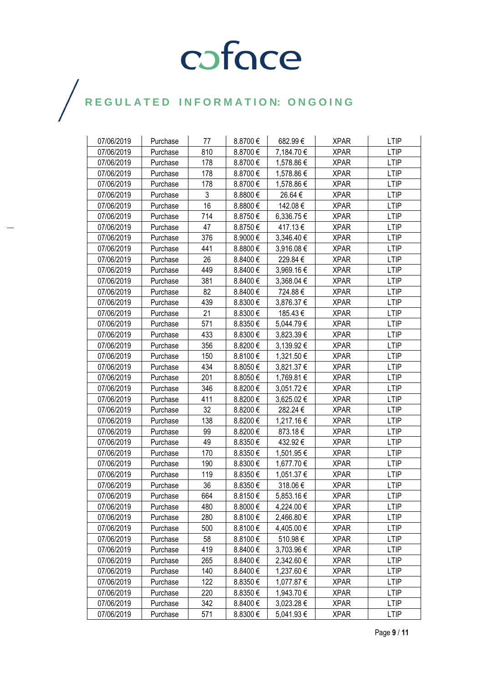| 07/06/2019 | Purchase | 77  | 8.8700€ | 682.99€        | <b>XPAR</b> | <b>LTIP</b> |
|------------|----------|-----|---------|----------------|-------------|-------------|
| 07/06/2019 | Purchase | 810 | 8.8700€ | 7,184.70 €     | <b>XPAR</b> | <b>LTIP</b> |
| 07/06/2019 | Purchase | 178 | 8.8700€ | 1,578.86 €     | <b>XPAR</b> | <b>LTIP</b> |
| 07/06/2019 | Purchase | 178 | 8.8700€ | 1,578.86 €     | <b>XPAR</b> | <b>LTIP</b> |
| 07/06/2019 | Purchase | 178 | 8.8700€ | 1,578.86 €     | <b>XPAR</b> | <b>LTIP</b> |
| 07/06/2019 | Purchase | 3   | 8.8800€ | 26.64 €        | <b>XPAR</b> | <b>LTIP</b> |
| 07/06/2019 | Purchase | 16  | 8.8800€ | 142.08€        | <b>XPAR</b> | <b>LTIP</b> |
| 07/06/2019 | Purchase | 714 | 8.8750€ | 6,336.75€      | <b>XPAR</b> | LTIP        |
| 07/06/2019 | Purchase | 47  | 8.8750€ | 417.13€        | <b>XPAR</b> | <b>LTIP</b> |
| 07/06/2019 | Purchase | 376 | 8.9000€ | 3,346.40 €     | <b>XPAR</b> | <b>LTIP</b> |
| 07/06/2019 | Purchase | 441 | 8.8800€ | 3,916.08€      | <b>XPAR</b> | <b>LTIP</b> |
| 07/06/2019 | Purchase | 26  | 8.8400€ | 229.84€        | <b>XPAR</b> | <b>LTIP</b> |
| 07/06/2019 | Purchase | 449 | 8.8400€ | 3,969.16€      | <b>XPAR</b> | <b>LTIP</b> |
| 07/06/2019 | Purchase | 381 | 8.8400€ | 3,368.04 €     | <b>XPAR</b> | <b>LTIP</b> |
| 07/06/2019 | Purchase | 82  | 8.8400€ | 724.88€        | <b>XPAR</b> | <b>LTIP</b> |
| 07/06/2019 | Purchase | 439 | 8.8300€ | 3,876.37 €     | <b>XPAR</b> | <b>LTIP</b> |
| 07/06/2019 | Purchase | 21  | 8.8300€ | 185.43€        | <b>XPAR</b> | LTIP        |
| 07/06/2019 | Purchase | 571 | 8.8350€ | 5,044.79€      | <b>XPAR</b> | <b>LTIP</b> |
| 07/06/2019 | Purchase | 433 | 8.8300€ | 3,823.39€      | <b>XPAR</b> | <b>LTIP</b> |
| 07/06/2019 | Purchase | 356 | 8.8200€ | 3,139.92 €     | <b>XPAR</b> | <b>LTIP</b> |
| 07/06/2019 | Purchase | 150 | 8.8100€ | 1,321.50 €     | <b>XPAR</b> | <b>LTIP</b> |
| 07/06/2019 | Purchase | 434 | 8.8050€ | 3,821.37 €     | <b>XPAR</b> | <b>LTIP</b> |
| 07/06/2019 | Purchase | 201 | 8.8050€ | 1,769.81 €     | <b>XPAR</b> | <b>LTIP</b> |
| 07/06/2019 | Purchase | 346 | 8.8200€ | 3,051.72€      | <b>XPAR</b> | <b>LTIP</b> |
| 07/06/2019 | Purchase | 411 | 8.8200€ | 3,625.02€      | <b>XPAR</b> | <b>LTIP</b> |
| 07/06/2019 | Purchase | 32  | 8.8200€ | 282.24€        | <b>XPAR</b> | <b>LTIP</b> |
| 07/06/2019 | Purchase | 138 | 8.8200€ | 1,217.16€      | <b>XPAR</b> | <b>LTIP</b> |
| 07/06/2019 | Purchase | 99  | 8.8200€ | 873.18€        | <b>XPAR</b> | <b>LTIP</b> |
| 07/06/2019 | Purchase | 49  | 8.8350€ | 432.92€        | <b>XPAR</b> | <b>LTIP</b> |
| 07/06/2019 | Purchase | 170 | 8.8350€ | 1,501.95 €     | <b>XPAR</b> | <b>LTIP</b> |
| 07/06/2019 | Purchase | 190 | 8.8300€ | 1,677.70 €     | <b>XPAR</b> | <b>LTIP</b> |
| 07/06/2019 | Purchase | 119 | 8.8350€ | 1,051.37 €     | <b>XPAR</b> | LTIP        |
| 07/06/2019 | Purchase | 36  | 8.8350€ | 318.06€        | <b>XPAR</b> | <b>LTIP</b> |
| 07/06/2019 | Purchase | 664 | 8.8150€ | 5,853.16€      | <b>XPAR</b> | <b>LTIP</b> |
| 07/06/2019 | Purchase | 480 | 8.8000€ | 4,224.00 €     | <b>XPAR</b> | <b>LTIP</b> |
| 07/06/2019 | Purchase | 280 | 8.8100€ | 2,466.80 €     | <b>XPAR</b> | <b>LTIP</b> |
| 07/06/2019 | Purchase | 500 | 8.8100€ | 4,405.00 €     | <b>XPAR</b> | <b>LTIP</b> |
| 07/06/2019 | Purchase | 58  | 8.8100€ | 510.98€        | <b>XPAR</b> | LTIP        |
| 07/06/2019 | Purchase | 419 | 8.8400€ | 3,703.96€      | <b>XPAR</b> | <b>LTIP</b> |
| 07/06/2019 | Purchase | 265 | 8.8400€ | 2,342.60 €     | <b>XPAR</b> | <b>LTIP</b> |
| 07/06/2019 | Purchase | 140 | 8.8400€ | 1,237.60 €     | <b>XPAR</b> | LTIP        |
| 07/06/2019 | Purchase | 122 | 8.8350€ | 1,077.87 €     | <b>XPAR</b> | <b>LTIP</b> |
| 07/06/2019 | Purchase | 220 | 8.8350€ | 1,943.70 €     | <b>XPAR</b> | LTIP        |
| 07/06/2019 | Purchase | 342 | 8.8400€ | $3,023.28 \in$ | <b>XPAR</b> | <b>LTIP</b> |
| 07/06/2019 | Purchase | 571 | 8.8300€ | 5,041.93 €     | <b>XPAR</b> | <b>LTIP</b> |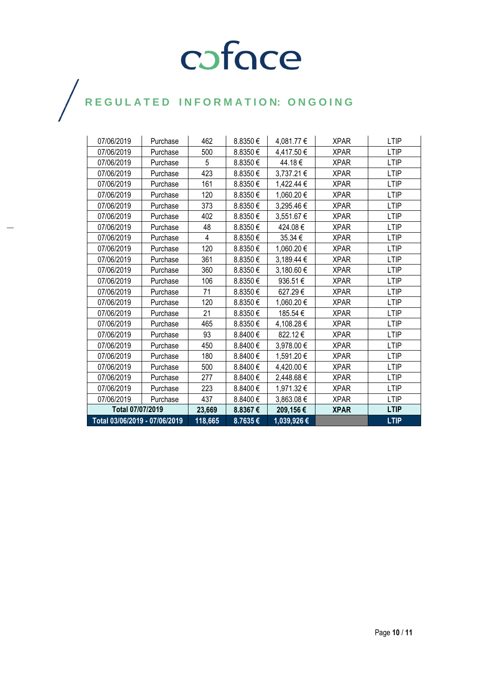| Total 03/06/2019 - 07/06/2019 |          | 118,665 | 8.7635€  | 1,039,926€ |             | <b>LTIP</b> |
|-------------------------------|----------|---------|----------|------------|-------------|-------------|
| Total 07/07/2019              |          | 23,669  | 8.8367€  | 209,156€   | <b>XPAR</b> | <b>LTIP</b> |
| 07/06/2019                    | Purchase | 437     | 8.8400€  | 3,863.08€  | <b>XPAR</b> | <b>LTIP</b> |
| 07/06/2019                    | Purchase | 223     | 8.8400€  | 1,971.32 € | <b>XPAR</b> | <b>LTIP</b> |
| 07/06/2019                    | Purchase | 277     | 8.8400€  | 2,448.68€  | <b>XPAR</b> | <b>LTIP</b> |
| 07/06/2019                    | Purchase | 500     | 8.8400€  | 4,420.00 € | <b>XPAR</b> | <b>LTIP</b> |
| 07/06/2019                    | Purchase | 180     | 8.8400 € | 1,591.20€  | <b>XPAR</b> | <b>LTIP</b> |
| 07/06/2019                    | Purchase | 450     | 8.8400€  | 3,978.00 € | <b>XPAR</b> | <b>LTIP</b> |
| 07/06/2019                    | Purchase | 93      | 8.8400€  | 822.12€    | <b>XPAR</b> | <b>LTIP</b> |
| 07/06/2019                    | Purchase | 465     | 8.8350€  | 4,108.28 € | <b>XPAR</b> | <b>LTIP</b> |
| 07/06/2019                    | Purchase | 21      | 8.8350€  | 185.54€    | <b>XPAR</b> | <b>LTIP</b> |
| 07/06/2019                    | Purchase | 120     | 8.8350€  | 1,060.20 € | <b>XPAR</b> | <b>LTIP</b> |
| 07/06/2019                    | Purchase | 71      | 8.8350€  | 627.29€    | <b>XPAR</b> | <b>LTIP</b> |
| 07/06/2019                    | Purchase | 106     | 8.8350€  | 936.51€    | <b>XPAR</b> | <b>LTIP</b> |
| 07/06/2019                    | Purchase | 360     | 8.8350€  | 3,180.60 € | <b>XPAR</b> | <b>LTIP</b> |
| 07/06/2019                    | Purchase | 361     | 8.8350€  | 3,189.44 € | <b>XPAR</b> | <b>LTIP</b> |
| 07/06/2019                    | Purchase | 120     | 8.8350€  | 1,060.20 € | <b>XPAR</b> | <b>LTIP</b> |
| 07/06/2019                    | Purchase | 4       | 8.8350€  | 35.34 €    | <b>XPAR</b> | <b>LTIP</b> |
| 07/06/2019                    | Purchase | 48      | 8.8350€  | 424.08€    | <b>XPAR</b> | <b>LTIP</b> |
| 07/06/2019                    | Purchase | 402     | 8.8350€  | 3,551.67 € | <b>XPAR</b> | <b>LTIP</b> |
| 07/06/2019                    | Purchase | 373     | 8.8350€  | 3,295.46€  | <b>XPAR</b> | <b>LTIP</b> |
| 07/06/2019                    | Purchase | 120     | 8.8350€  | 1,060.20€  | <b>XPAR</b> | <b>LTIP</b> |
| 07/06/2019                    | Purchase | 161     | 8.8350€  | 1,422.44 € | <b>XPAR</b> | <b>LTIP</b> |
| 07/06/2019                    | Purchase | 423     | 8.8350€  | 3,737.21 € | <b>XPAR</b> | <b>LTIP</b> |
| 07/06/2019                    | Purchase | 5       | 8.8350€  | 44.18€     | <b>XPAR</b> | <b>LTIP</b> |
| 07/06/2019                    | Purchase | 500     | 8.8350€  | 4,417.50 € | <b>XPAR</b> | <b>LTIP</b> |
| 07/06/2019                    | Purchase | 462     | 8.8350€  | 4,081.77 € | <b>XPAR</b> | <b>LTIP</b> |